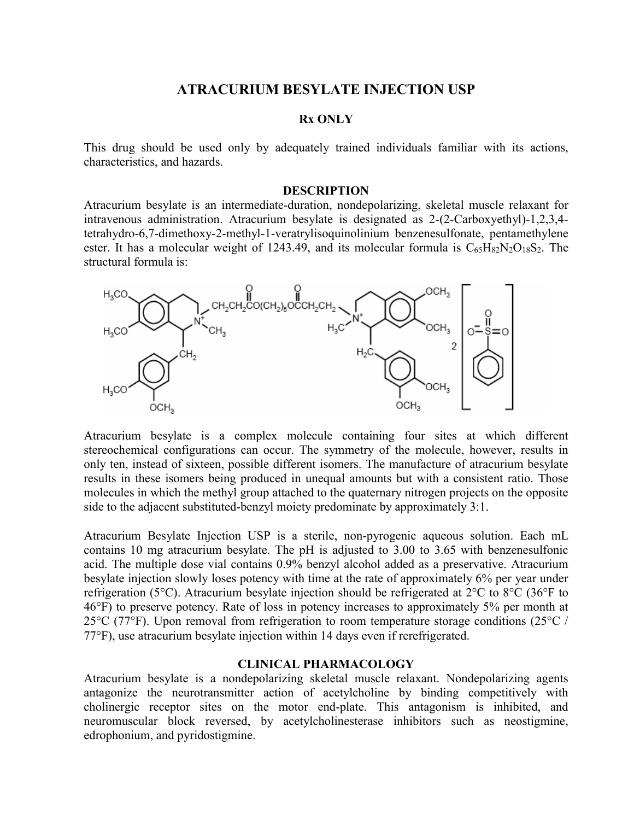# **ATRACURIUM BESYLATE INJECTION USP**

## **Rx ONLY**

This drug should be used only by adequately trained individuals familiar with its actions, characteristics, and hazards.

#### **DESCRIPTION**

Atracurium besylate is an intermediate-duration, nondepolarizing, skeletal muscle relaxant for intravenous administration. Atracurium besylate is designated as 2-(2-Carboxyethyl)-1,2,3,4 tetrahydro-6,7-dimethoxy-2-methyl-1-veratrylisoquinolinium benzenesulfonate, pentamethylene ester. It has a molecular weight of 1243.49, and its molecular formula is  $C_{65}H_{82}N_2O_{18}S_2$ . The structural formula is:



Atracurium besylate is a complex molecule containing four sites at which different stereochemical configurations can occur. The symmetry of the molecule, however, results in only ten, instead of sixteen, possible different isomers. The manufacture of atracurium besylate results in these isomers being produced in unequal amounts but with a consistent ratio. Those molecules in which the methyl group attached to the quaternary nitrogen projects on the opposite side to the adjacent substituted-benzyl moiety predominate by approximately 3:1.

Atracurium Besylate Injection USP is a sterile, non-pyrogenic aqueous solution. Each mL contains 10 mg atracurium besylate. The pH is adjusted to 3.00 to 3.65 with benzenesulfonic acid. The multiple dose vial contains 0.9% benzyl alcohol added as a preservative. Atracurium besylate injection slowly loses potency with time at the rate of approximately 6% per year under refrigeration (5°C). Atracurium besylate injection should be refrigerated at 2°C to 8°C (36°F to 46°F) to preserve potency. Rate of loss in potency increases to approximately 5% per month at 25 $^{\circ}$ C (77 $^{\circ}$ F). Upon removal from refrigeration to room temperature storage conditions (25 $^{\circ}$ C / 77°F), use atracurium besylate injection within 14 days even if rerefrigerated.

## **CLINICAL PHARMACOLOGY**

Atracurium besylate is a nondepolarizing skeletal muscle relaxant. Nondepolarizing agents antagonize the neurotransmitter action of acetylcholine by binding competitively with cholinergic receptor sites on the motor end-plate. This antagonism is inhibited, and neuromuscular block reversed, by acetylcholinesterase inhibitors such as neostigmine, edrophonium, and pyridostigmine.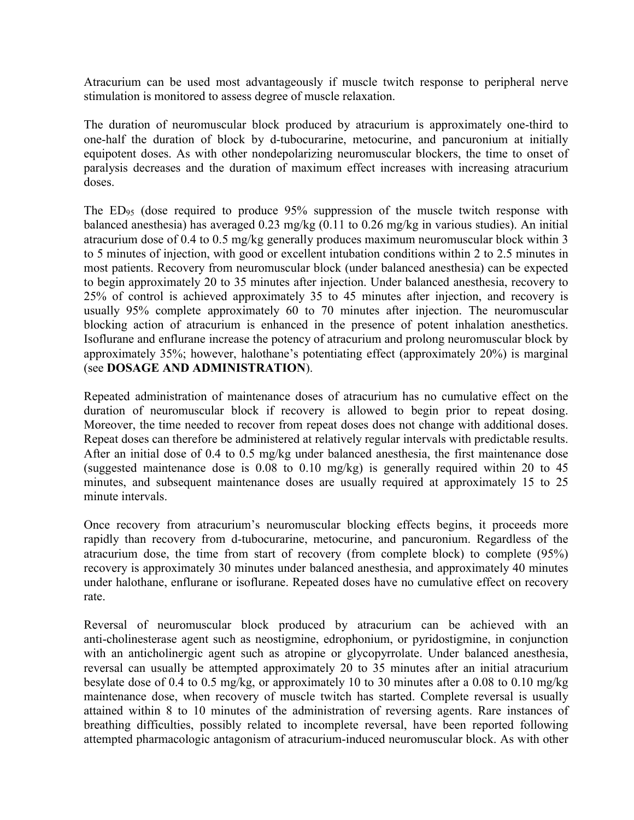Atracurium can be used most advantageously if muscle twitch response to peripheral nerve stimulation is monitored to assess degree of muscle relaxation.

The duration of neuromuscular block produced by atracurium is approximately one-third to one-half the duration of block by d-tubocurarine, metocurine, and pancuronium at initially equipotent doses. As with other nondepolarizing neuromuscular blockers, the time to onset of paralysis decreases and the duration of maximum effect increases with increasing atracurium doses.

The ED<sup>95</sup> (dose required to produce 95% suppression of the muscle twitch response with balanced anesthesia) has averaged 0.23 mg/kg (0.11 to 0.26 mg/kg in various studies). An initial atracurium dose of 0.4 to 0.5 mg/kg generally produces maximum neuromuscular block within 3 to 5 minutes of injection, with good or excellent intubation conditions within 2 to 2.5 minutes in most patients. Recovery from neuromuscular block (under balanced anesthesia) can be expected to begin approximately 20 to 35 minutes after injection. Under balanced anesthesia, recovery to 25% of control is achieved approximately 35 to 45 minutes after injection, and recovery is usually 95% complete approximately 60 to 70 minutes after injection. The neuromuscular blocking action of atracurium is enhanced in the presence of potent inhalation anesthetics. Isoflurane and enflurane increase the potency of atracurium and prolong neuromuscular block by approximately 35%; however, halothane's potentiating effect (approximately 20%) is marginal (see **DOSAGE AND ADMINISTRATION**).

Repeated administration of maintenance doses of atracurium has no cumulative effect on the duration of neuromuscular block if recovery is allowed to begin prior to repeat dosing. Moreover, the time needed to recover from repeat doses does not change with additional doses. Repeat doses can therefore be administered at relatively regular intervals with predictable results. After an initial dose of 0.4 to 0.5 mg/kg under balanced anesthesia, the first maintenance dose (suggested maintenance dose is 0.08 to 0.10 mg/kg) is generally required within 20 to 45 minutes, and subsequent maintenance doses are usually required at approximately 15 to 25 minute intervals.

Once recovery from atracurium's neuromuscular blocking effects begins, it proceeds more rapidly than recovery from d-tubocurarine, metocurine, and pancuronium. Regardless of the atracurium dose, the time from start of recovery (from complete block) to complete (95%) recovery is approximately 30 minutes under balanced anesthesia, and approximately 40 minutes under halothane, enflurane or isoflurane. Repeated doses have no cumulative effect on recovery rate.

Reversal of neuromuscular block produced by atracurium can be achieved with an anti-cholinesterase agent such as neostigmine, edrophonium, or pyridostigmine, in conjunction with an anticholinergic agent such as atropine or glycopyrrolate. Under balanced anesthesia, reversal can usually be attempted approximately 20 to 35 minutes after an initial atracurium besylate dose of 0.4 to 0.5 mg/kg, or approximately 10 to 30 minutes after a 0.08 to 0.10 mg/kg maintenance dose, when recovery of muscle twitch has started. Complete reversal is usually attained within 8 to 10 minutes of the administration of reversing agents. Rare instances of breathing difficulties, possibly related to incomplete reversal, have been reported following attempted pharmacologic antagonism of atracurium-induced neuromuscular block. As with other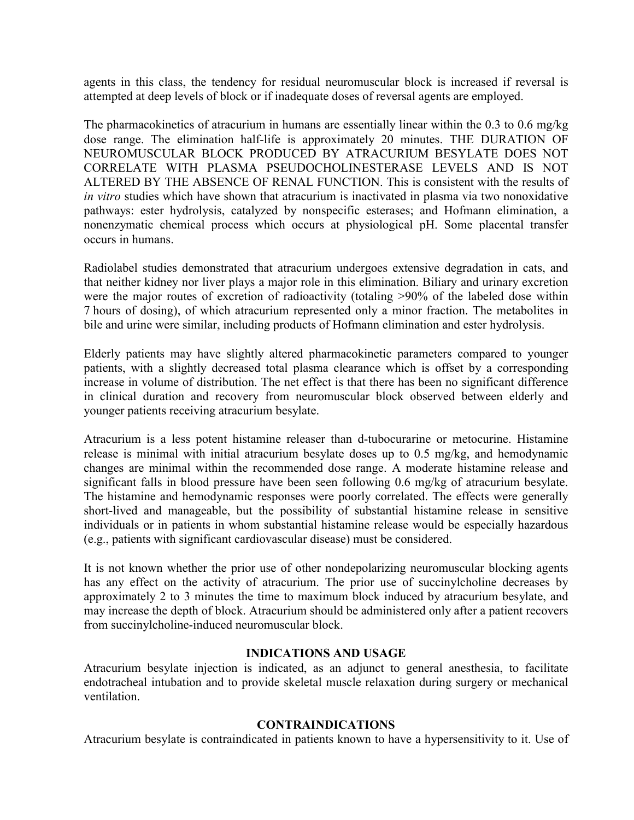agents in this class, the tendency for residual neuromuscular block is increased if reversal is attempted at deep levels of block or if inadequate doses of reversal agents are employed.

The pharmacokinetics of atracurium in humans are essentially linear within the 0.3 to 0.6 mg/kg dose range. The elimination half-life is approximately 20 minutes. THE DURATION OF NEUROMUSCULAR BLOCK PRODUCED BY ATRACURIUM BESYLATE DOES NOT CORRELATE WITH PLASMA PSEUDOCHOLINESTERASE LEVELS AND IS NOT ALTERED BY THE ABSENCE OF RENAL FUNCTION. This is consistent with the results of *in vitro* studies which have shown that atracurium is inactivated in plasma via two nonoxidative pathways: ester hydrolysis, catalyzed by nonspecific esterases; and Hofmann elimination, a nonenzymatic chemical process which occurs at physiological pH. Some placental transfer occurs in humans.

Radiolabel studies demonstrated that atracurium undergoes extensive degradation in cats, and that neither kidney nor liver plays a major role in this elimination. Biliary and urinary excretion were the major routes of excretion of radioactivity (totaling >90% of the labeled dose within 7 hours of dosing), of which atracurium represented only a minor fraction. The metabolites in bile and urine were similar, including products of Hofmann elimination and ester hydrolysis.

Elderly patients may have slightly altered pharmacokinetic parameters compared to younger patients, with a slightly decreased total plasma clearance which is offset by a corresponding increase in volume of distribution. The net effect is that there has been no significant difference in clinical duration and recovery from neuromuscular block observed between elderly and younger patients receiving atracurium besylate.

Atracurium is a less potent histamine releaser than d-tubocurarine or metocurine. Histamine release is minimal with initial atracurium besylate doses up to 0.5 mg/kg, and hemodynamic changes are minimal within the recommended dose range. A moderate histamine release and significant falls in blood pressure have been seen following 0.6 mg/kg of atracurium besylate. The histamine and hemodynamic responses were poorly correlated. The effects were generally short-lived and manageable, but the possibility of substantial histamine release in sensitive individuals or in patients in whom substantial histamine release would be especially hazardous (e.g., patients with significant cardiovascular disease) must be considered.

It is not known whether the prior use of other nondepolarizing neuromuscular blocking agents has any effect on the activity of atracurium. The prior use of succinylcholine decreases by approximately 2 to 3 minutes the time to maximum block induced by atracurium besylate, and may increase the depth of block. Atracurium should be administered only after a patient recovers from succinylcholine-induced neuromuscular block.

#### **INDICATIONS AND USAGE**

Atracurium besylate injection is indicated, as an adjunct to general anesthesia, to facilitate endotracheal intubation and to provide skeletal muscle relaxation during surgery or mechanical ventilation.

#### **CONTRAINDICATIONS**

Atracurium besylate is contraindicated in patients known to have a hypersensitivity to it. Use of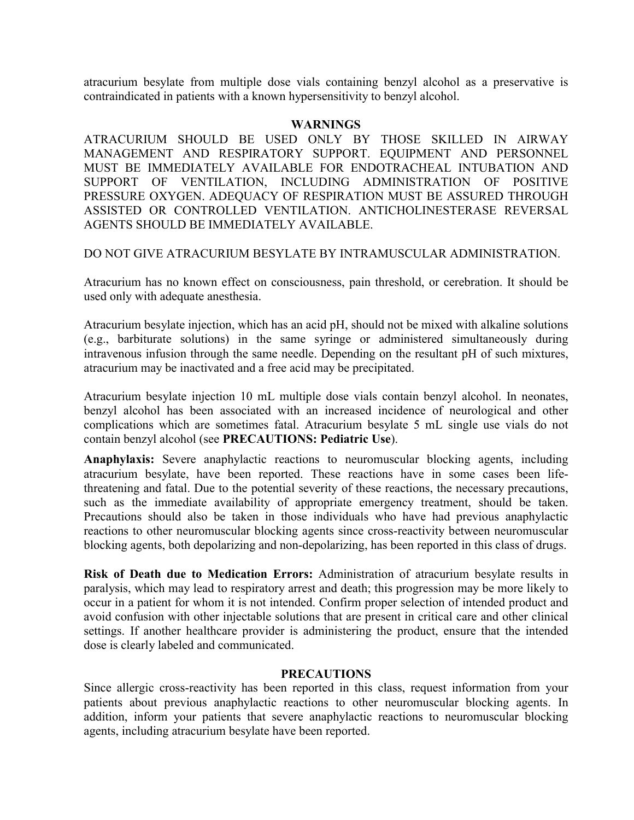atracurium besylate from multiple dose vials containing benzyl alcohol as a preservative is contraindicated in patients with a known hypersensitivity to benzyl alcohol.

#### **WARNINGS**

ATRACURIUM SHOULD BE USED ONLY BY THOSE SKILLED IN AIRWAY MANAGEMENT AND RESPIRATORY SUPPORT. EQUIPMENT AND PERSONNEL MUST BE IMMEDIATELY AVAILABLE FOR ENDOTRACHEAL INTUBATION AND SUPPORT OF VENTILATION, INCLUDING ADMINISTRATION OF POSITIVE PRESSURE OXYGEN. ADEQUACY OF RESPIRATION MUST BE ASSURED THROUGH ASSISTED OR CONTROLLED VENTILATION. ANTICHOLINESTERASE REVERSAL AGENTS SHOULD BE IMMEDIATELY AVAILABLE.

DO NOT GIVE ATRACURIUM BESYLATE BY INTRAMUSCULAR ADMINISTRATION.

Atracurium has no known effect on consciousness, pain threshold, or cerebration. It should be used only with adequate anesthesia.

Atracurium besylate injection, which has an acid pH, should not be mixed with alkaline solutions (e.g., barbiturate solutions) in the same syringe or administered simultaneously during intravenous infusion through the same needle. Depending on the resultant pH of such mixtures, atracurium may be inactivated and a free acid may be precipitated.

Atracurium besylate injection 10 mL multiple dose vials contain benzyl alcohol. In neonates, benzyl alcohol has been associated with an increased incidence of neurological and other complications which are sometimes fatal. Atracurium besylate 5 mL single use vials do not contain benzyl alcohol (see **PRECAUTIONS: Pediatric Use**).

**Anaphylaxis:** Severe anaphylactic reactions to neuromuscular blocking agents, including atracurium besylate, have been reported. These reactions have in some cases been lifethreatening and fatal. Due to the potential severity of these reactions, the necessary precautions, such as the immediate availability of appropriate emergency treatment, should be taken. Precautions should also be taken in those individuals who have had previous anaphylactic reactions to other neuromuscular blocking agents since cross-reactivity between neuromuscular blocking agents, both depolarizing and non-depolarizing, has been reported in this class of drugs.

**Risk of Death due to Medication Errors:** Administration of atracurium besylate results in paralysis, which may lead to respiratory arrest and death; this progression may be more likely to occur in a patient for whom it is not intended. Confirm proper selection of intended product and avoid confusion with other injectable solutions that are present in critical care and other clinical settings. If another healthcare provider is administering the product, ensure that the intended dose is clearly labeled and communicated.

## **PRECAUTIONS**

Since allergic cross-reactivity has been reported in this class, request information from your patients about previous anaphylactic reactions to other neuromuscular blocking agents. In addition, inform your patients that severe anaphylactic reactions to neuromuscular blocking agents, including atracurium besylate have been reported.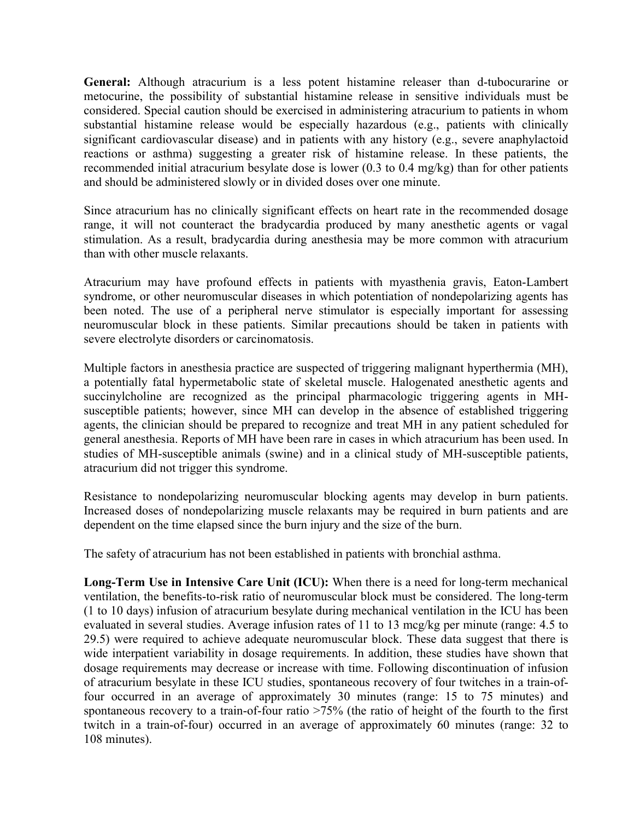**General:** Although atracurium is a less potent histamine releaser than d-tubocurarine or metocurine, the possibility of substantial histamine release in sensitive individuals must be considered. Special caution should be exercised in administering atracurium to patients in whom substantial histamine release would be especially hazardous (e.g., patients with clinically significant cardiovascular disease) and in patients with any history (e.g., severe anaphylactoid reactions or asthma) suggesting a greater risk of histamine release. In these patients, the recommended initial atracurium besylate dose is lower (0.3 to 0.4 mg/kg) than for other patients and should be administered slowly or in divided doses over one minute.

Since atracurium has no clinically significant effects on heart rate in the recommended dosage range, it will not counteract the bradycardia produced by many anesthetic agents or vagal stimulation. As a result, bradycardia during anesthesia may be more common with atracurium than with other muscle relaxants.

Atracurium may have profound effects in patients with myasthenia gravis, Eaton-Lambert syndrome, or other neuromuscular diseases in which potentiation of nondepolarizing agents has been noted. The use of a peripheral nerve stimulator is especially important for assessing neuromuscular block in these patients. Similar precautions should be taken in patients with severe electrolyte disorders or carcinomatosis.

Multiple factors in anesthesia practice are suspected of triggering malignant hyperthermia (MH), a potentially fatal hypermetabolic state of skeletal muscle. Halogenated anesthetic agents and succinylcholine are recognized as the principal pharmacologic triggering agents in MHsusceptible patients; however, since MH can develop in the absence of established triggering agents, the clinician should be prepared to recognize and treat MH in any patient scheduled for general anesthesia. Reports of MH have been rare in cases in which atracurium has been used. In studies of MH-susceptible animals (swine) and in a clinical study of MH-susceptible patients, atracurium did not trigger this syndrome.

Resistance to nondepolarizing neuromuscular blocking agents may develop in burn patients. Increased doses of nondepolarizing muscle relaxants may be required in burn patients and are dependent on the time elapsed since the burn injury and the size of the burn.

The safety of atracurium has not been established in patients with bronchial asthma.

**Long-Term Use in Intensive Care Unit (ICU):** When there is a need for long-term mechanical ventilation, the benefits-to-risk ratio of neuromuscular block must be considered. The long-term (1 to 10 days) infusion of atracurium besylate during mechanical ventilation in the ICU has been evaluated in several studies. Average infusion rates of 11 to 13 mcg/kg per minute (range: 4.5 to 29.5) were required to achieve adequate neuromuscular block. These data suggest that there is wide interpatient variability in dosage requirements. In addition, these studies have shown that dosage requirements may decrease or increase with time. Following discontinuation of infusion of atracurium besylate in these ICU studies, spontaneous recovery of four twitches in a train-offour occurred in an average of approximately 30 minutes (range: 15 to 75 minutes) and spontaneous recovery to a train-of-four ratio >75% (the ratio of height of the fourth to the first twitch in a train-of-four) occurred in an average of approximately 60 minutes (range: 32 to 108 minutes).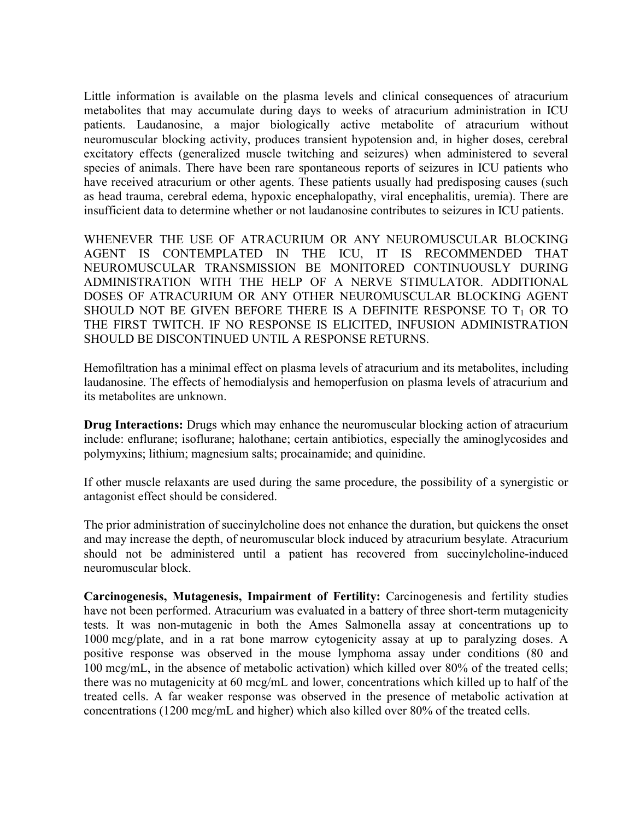Little information is available on the plasma levels and clinical consequences of atracurium metabolites that may accumulate during days to weeks of atracurium administration in ICU patients. Laudanosine, a major biologically active metabolite of atracurium without neuromuscular blocking activity, produces transient hypotension and, in higher doses, cerebral excitatory effects (generalized muscle twitching and seizures) when administered to several species of animals. There have been rare spontaneous reports of seizures in ICU patients who have received atracurium or other agents. These patients usually had predisposing causes (such as head trauma, cerebral edema, hypoxic encephalopathy, viral encephalitis, uremia). There are insufficient data to determine whether or not laudanosine contributes to seizures in ICU patients.

WHENEVER THE USE OF ATRACURIUM OR ANY NEUROMUSCULAR BLOCKING AGENT IS CONTEMPLATED IN THE ICU, IT IS RECOMMENDED THAT NEUROMUSCULAR TRANSMISSION BE MONITORED CONTINUOUSLY DURING ADMINISTRATION WITH THE HELP OF A NERVE STIMULATOR. ADDITIONAL DOSES OF ATRACURIUM OR ANY OTHER NEUROMUSCULAR BLOCKING AGENT SHOULD NOT BE GIVEN BEFORE THERE IS A DEFINITE RESPONSE TO  $T_1$  OR TO THE FIRST TWITCH. IF NO RESPONSE IS ELICITED, INFUSION ADMINISTRATION SHOULD BE DISCONTINUED UNTIL A RESPONSE RETURNS.

Hemofiltration has a minimal effect on plasma levels of atracurium and its metabolites, including laudanosine. The effects of hemodialysis and hemoperfusion on plasma levels of atracurium and its metabolites are unknown.

**Drug Interactions:** Drugs which may enhance the neuromuscular blocking action of atracurium include: enflurane; isoflurane; halothane; certain antibiotics, especially the aminoglycosides and polymyxins; lithium; magnesium salts; procainamide; and quinidine.

If other muscle relaxants are used during the same procedure, the possibility of a synergistic or antagonist effect should be considered.

The prior administration of succinylcholine does not enhance the duration, but quickens the onset and may increase the depth, of neuromuscular block induced by atracurium besylate. Atracurium should not be administered until a patient has recovered from succinylcholine-induced neuromuscular block.

**Carcinogenesis, Mutagenesis, Impairment of Fertility:** Carcinogenesis and fertility studies have not been performed. Atracurium was evaluated in a battery of three short-term mutagenicity tests. It was non-mutagenic in both the Ames Salmonella assay at concentrations up to 1000 mcg/plate, and in a rat bone marrow cytogenicity assay at up to paralyzing doses. A positive response was observed in the mouse lymphoma assay under conditions (80 and 100 mcg/mL, in the absence of metabolic activation) which killed over 80% of the treated cells; there was no mutagenicity at 60 mcg/mL and lower, concentrations which killed up to half of the treated cells. A far weaker response was observed in the presence of metabolic activation at concentrations (1200 mcg/mL and higher) which also killed over 80% of the treated cells.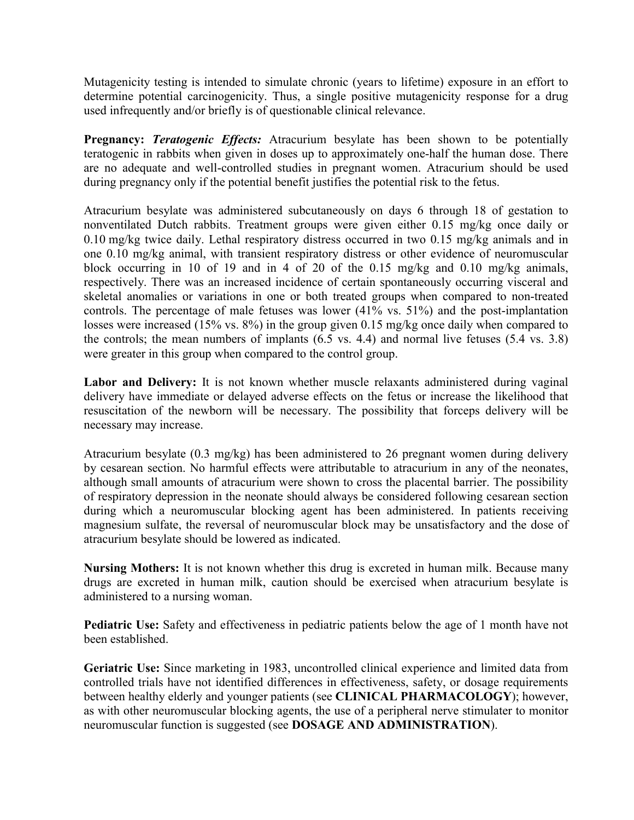Mutagenicity testing is intended to simulate chronic (years to lifetime) exposure in an effort to determine potential carcinogenicity. Thus, a single positive mutagenicity response for a drug used infrequently and/or briefly is of questionable clinical relevance.

**Pregnancy:** *Teratogenic Effects:* Atracurium besylate has been shown to be potentially teratogenic in rabbits when given in doses up to approximately one-half the human dose. There are no adequate and well-controlled studies in pregnant women. Atracurium should be used during pregnancy only if the potential benefit justifies the potential risk to the fetus.

Atracurium besylate was administered subcutaneously on days 6 through 18 of gestation to nonventilated Dutch rabbits. Treatment groups were given either 0.15 mg/kg once daily or 0.10 mg/kg twice daily. Lethal respiratory distress occurred in two 0.15 mg/kg animals and in one 0.10 mg/kg animal, with transient respiratory distress or other evidence of neuromuscular block occurring in 10 of 19 and in 4 of 20 of the 0.15 mg/kg and 0.10 mg/kg animals, respectively. There was an increased incidence of certain spontaneously occurring visceral and skeletal anomalies or variations in one or both treated groups when compared to non-treated controls. The percentage of male fetuses was lower (41% vs. 51%) and the post-implantation losses were increased (15% vs. 8%) in the group given 0.15 mg/kg once daily when compared to the controls; the mean numbers of implants  $(6.5 \text{ vs. } 4.4)$  and normal live fetuses  $(5.4 \text{ vs. } 3.8)$ were greater in this group when compared to the control group.

**Labor and Delivery:** It is not known whether muscle relaxants administered during vaginal delivery have immediate or delayed adverse effects on the fetus or increase the likelihood that resuscitation of the newborn will be necessary. The possibility that forceps delivery will be necessary may increase.

Atracurium besylate (0.3 mg/kg) has been administered to 26 pregnant women during delivery by cesarean section. No harmful effects were attributable to atracurium in any of the neonates, although small amounts of atracurium were shown to cross the placental barrier. The possibility of respiratory depression in the neonate should always be considered following cesarean section during which a neuromuscular blocking agent has been administered. In patients receiving magnesium sulfate, the reversal of neuromuscular block may be unsatisfactory and the dose of atracurium besylate should be lowered as indicated.

**Nursing Mothers:** It is not known whether this drug is excreted in human milk. Because many drugs are excreted in human milk, caution should be exercised when atracurium besylate is administered to a nursing woman.

**Pediatric Use:** Safety and effectiveness in pediatric patients below the age of 1 month have not been established.

**Geriatric Use:** Since marketing in 1983, uncontrolled clinical experience and limited data from controlled trials have not identified differences in effectiveness, safety, or dosage requirements between healthy elderly and younger patients (see **CLINICAL PHARMACOLOGY**); however, as with other neuromuscular blocking agents, the use of a peripheral nerve stimulater to monitor neuromuscular function is suggested (see **DOSAGE AND ADMINISTRATION**).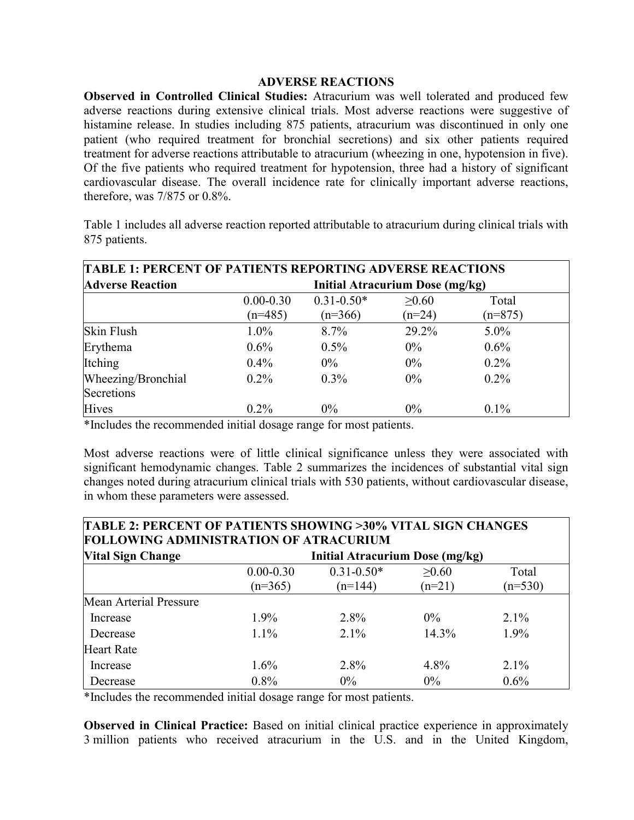#### **ADVERSE REACTIONS**

**Observed in Controlled Clinical Studies:** Atracurium was well tolerated and produced few adverse reactions during extensive clinical trials. Most adverse reactions were suggestive of histamine release. In studies including 875 patients, atracurium was discontinued in only one patient (who required treatment for bronchial secretions) and six other patients required treatment for adverse reactions attributable to atracurium (wheezing in one, hypotension in five). Of the five patients who required treatment for hypotension, three had a history of significant cardiovascular disease. The overall incidence rate for clinically important adverse reactions, therefore, was 7/875 or 0.8%.

Table 1 includes all adverse reaction reported attributable to atracurium during clinical trials with 875 patients.

| <b>TABLE 1: PERCENT OF PATIENTS REPORTING ADVERSE REACTIONS</b> |               |                                        |             |           |  |  |  |  |  |
|-----------------------------------------------------------------|---------------|----------------------------------------|-------------|-----------|--|--|--|--|--|
| <b>Adverse Reaction</b>                                         |               | <b>Initial Atracurium Dose (mg/kg)</b> |             |           |  |  |  |  |  |
|                                                                 | $0.00 - 0.30$ | $0.31 - 0.50*$                         | $\geq 0.60$ | Total     |  |  |  |  |  |
|                                                                 | $(n=485)$     | $(n=366)$                              | $(n=24)$    | $(n=875)$ |  |  |  |  |  |
| Skin Flush                                                      | $1.0\%$       | $8.7\%$                                | 29.2%       | $5.0\%$   |  |  |  |  |  |
| Erythema                                                        | $0.6\%$       | 0.5%                                   | $0\%$       | $0.6\%$   |  |  |  |  |  |
| Itching                                                         | 0.4%          | $0\%$                                  | $0\%$       | $0.2\%$   |  |  |  |  |  |
| Wheezing/Bronchial                                              | $0.2\%$       | $0.3\%$                                | $0\%$       | $0.2\%$   |  |  |  |  |  |
| Secretions                                                      |               |                                        |             |           |  |  |  |  |  |
| <b>Hives</b>                                                    | $0.2\%$       | $0\%$                                  | $0\%$       | 0.1%      |  |  |  |  |  |

\*Includes the recommended initial dosage range for most patients.

Most adverse reactions were of little clinical significance unless they were associated with significant hemodynamic changes. Table 2 summarizes the incidences of substantial vital sign changes noted during atracurium clinical trials with 530 patients, without cardiovascular disease, in whom these parameters were assessed.

| <b>TABLE 2: PERCENT OF PATIENTS SHOWING &gt;30% VITAL SIGN CHANGES</b><br><b>FOLLOWING ADMINISTRATION OF ATRACURIUM</b> |                                        |                             |                   |                    |  |  |  |  |  |
|-------------------------------------------------------------------------------------------------------------------------|----------------------------------------|-----------------------------|-------------------|--------------------|--|--|--|--|--|
| <b>Vital Sign Change</b>                                                                                                | <b>Initial Atracurium Dose (mg/kg)</b> |                             |                   |                    |  |  |  |  |  |
|                                                                                                                         | $0.00 - 0.30$<br>$(n=365)$             | $0.31 - 0.50*$<br>$(n=144)$ | >0.60<br>$(n=21)$ | Total<br>$(n=530)$ |  |  |  |  |  |
| Mean Arterial Pressure                                                                                                  |                                        |                             |                   |                    |  |  |  |  |  |
| Increase                                                                                                                | $1.9\%$                                | 2.8%                        | $0\%$             | $2.1\%$            |  |  |  |  |  |
| Decrease                                                                                                                | $1.1\%$                                | $2.1\%$                     | $14.3\%$          | $1.9\%$            |  |  |  |  |  |
| <b>Heart Rate</b>                                                                                                       |                                        |                             |                   |                    |  |  |  |  |  |
| Increase                                                                                                                | 1.6%                                   | 2.8%                        | $4.8\%$           | $2.1\%$            |  |  |  |  |  |
| Decrease                                                                                                                | 0.8%                                   | $0\%$                       | $0\%$             | $0.6\%$            |  |  |  |  |  |

\*Includes the recommended initial dosage range for most patients.

**Observed in Clinical Practice:** Based on initial clinical practice experience in approximately 3 million patients who received atracurium in the U.S. and in the United Kingdom,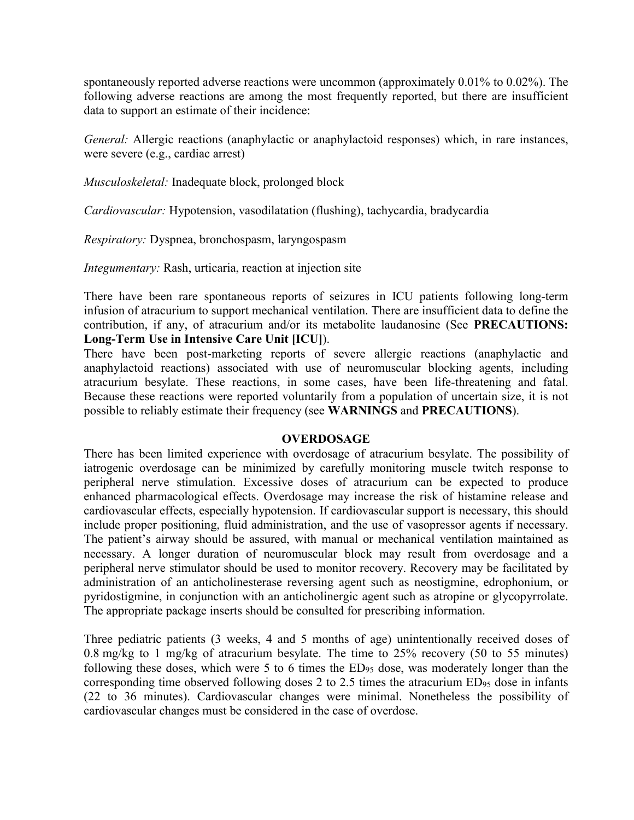spontaneously reported adverse reactions were uncommon (approximately 0.01% to 0.02%). The following adverse reactions are among the most frequently reported, but there are insufficient data to support an estimate of their incidence:

*General:* Allergic reactions (anaphylactic or anaphylactoid responses) which, in rare instances, were severe (e.g., cardiac arrest)

*Musculoskeletal:* Inadequate block, prolonged block

*Cardiovascular:* Hypotension, vasodilatation (flushing), tachycardia, bradycardia

*Respiratory:* Dyspnea, bronchospasm, laryngospasm

*Integumentary:* Rash, urticaria, reaction at injection site

There have been rare spontaneous reports of seizures in ICU patients following long-term infusion of atracurium to support mechanical ventilation. There are insufficient data to define the contribution, if any, of atracurium and/or its metabolite laudanosine (See **PRECAUTIONS: Long-Term Use in Intensive Care Unit [ICU]**).

There have been post-marketing reports of severe allergic reactions (anaphylactic and anaphylactoid reactions) associated with use of neuromuscular blocking agents, including atracurium besylate. These reactions, in some cases, have been life-threatening and fatal. Because these reactions were reported voluntarily from a population of uncertain size, it is not possible to reliably estimate their frequency (see **WARNINGS** and **PRECAUTIONS**).

## **OVERDOSAGE**

There has been limited experience with overdosage of atracurium besylate. The possibility of iatrogenic overdosage can be minimized by carefully monitoring muscle twitch response to peripheral nerve stimulation. Excessive doses of atracurium can be expected to produce enhanced pharmacological effects. Overdosage may increase the risk of histamine release and cardiovascular effects, especially hypotension. If cardiovascular support is necessary, this should include proper positioning, fluid administration, and the use of vasopressor agents if necessary. The patient's airway should be assured, with manual or mechanical ventilation maintained as necessary. A longer duration of neuromuscular block may result from overdosage and a peripheral nerve stimulator should be used to monitor recovery. Recovery may be facilitated by administration of an anticholinesterase reversing agent such as neostigmine, edrophonium, or pyridostigmine, in conjunction with an anticholinergic agent such as atropine or glycopyrrolate. The appropriate package inserts should be consulted for prescribing information.

Three pediatric patients (3 weeks, 4 and 5 months of age) unintentionally received doses of 0.8 mg/kg to 1 mg/kg of atracurium besylate. The time to 25% recovery (50 to 55 minutes) following these doses, which were 5 to 6 times the ED<sub>95</sub> dose, was moderately longer than the corresponding time observed following doses 2 to 2.5 times the atracurium  $ED_{95}$  dose in infants (22 to 36 minutes). Cardiovascular changes were minimal. Nonetheless the possibility of cardiovascular changes must be considered in the case of overdose.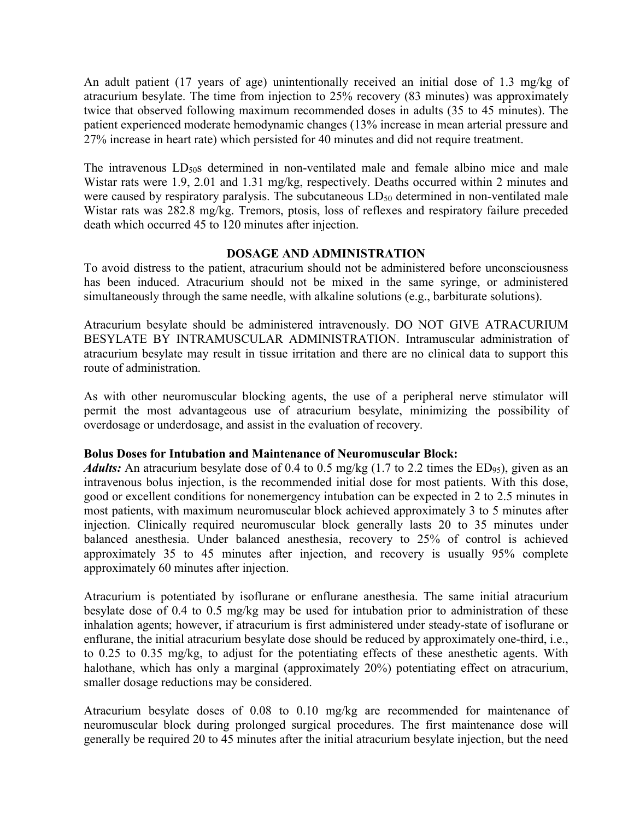An adult patient (17 years of age) unintentionally received an initial dose of 1.3 mg/kg of atracurium besylate. The time from injection to 25% recovery (83 minutes) was approximately twice that observed following maximum recommended doses in adults (35 to 45 minutes). The patient experienced moderate hemodynamic changes (13% increase in mean arterial pressure and 27% increase in heart rate) which persisted for 40 minutes and did not require treatment.

The intravenous  $LD<sub>50</sub>$  determined in non-ventilated male and female albino mice and male Wistar rats were 1.9, 2.01 and 1.31 mg/kg, respectively. Deaths occurred within 2 minutes and were caused by respiratory paralysis. The subcutaneous  $LD_{50}$  determined in non-ventilated male Wistar rats was 282.8 mg/kg. Tremors, ptosis, loss of reflexes and respiratory failure preceded death which occurred 45 to 120 minutes after injection.

## **DOSAGE AND ADMINISTRATION**

To avoid distress to the patient, atracurium should not be administered before unconsciousness has been induced. Atracurium should not be mixed in the same syringe, or administered simultaneously through the same needle, with alkaline solutions (e.g., barbiturate solutions).

Atracurium besylate should be administered intravenously. DO NOT GIVE ATRACURIUM BESYLATE BY INTRAMUSCULAR ADMINISTRATION. Intramuscular administration of atracurium besylate may result in tissue irritation and there are no clinical data to support this route of administration.

As with other neuromuscular blocking agents, the use of a peripheral nerve stimulator will permit the most advantageous use of atracurium besylate, minimizing the possibility of overdosage or underdosage, and assist in the evaluation of recovery.

## **Bolus Doses for Intubation and Maintenance of Neuromuscular Block:**

*Adults:* An atracurium besylate dose of 0.4 to 0.5 mg/kg  $(1.7 \text{ to } 2.2 \text{ times the ED}_{95})$ , given as an intravenous bolus injection, is the recommended initial dose for most patients. With this dose, good or excellent conditions for nonemergency intubation can be expected in 2 to 2.5 minutes in most patients, with maximum neuromuscular block achieved approximately 3 to 5 minutes after injection. Clinically required neuromuscular block generally lasts 20 to 35 minutes under balanced anesthesia. Under balanced anesthesia, recovery to 25% of control is achieved approximately 35 to 45 minutes after injection, and recovery is usually 95% complete approximately 60 minutes after injection.

Atracurium is potentiated by isoflurane or enflurane anesthesia. The same initial atracurium besylate dose of 0.4 to 0.5 mg/kg may be used for intubation prior to administration of these inhalation agents; however, if atracurium is first administered under steady-state of isoflurane or enflurane, the initial atracurium besylate dose should be reduced by approximately one-third, i.e., to 0.25 to 0.35 mg/kg, to adjust for the potentiating effects of these anesthetic agents. With halothane, which has only a marginal (approximately 20%) potentiating effect on atracurium, smaller dosage reductions may be considered.

Atracurium besylate doses of 0.08 to 0.10 mg/kg are recommended for maintenance of neuromuscular block during prolonged surgical procedures. The first maintenance dose will generally be required 20 to 45 minutes after the initial atracurium besylate injection, but the need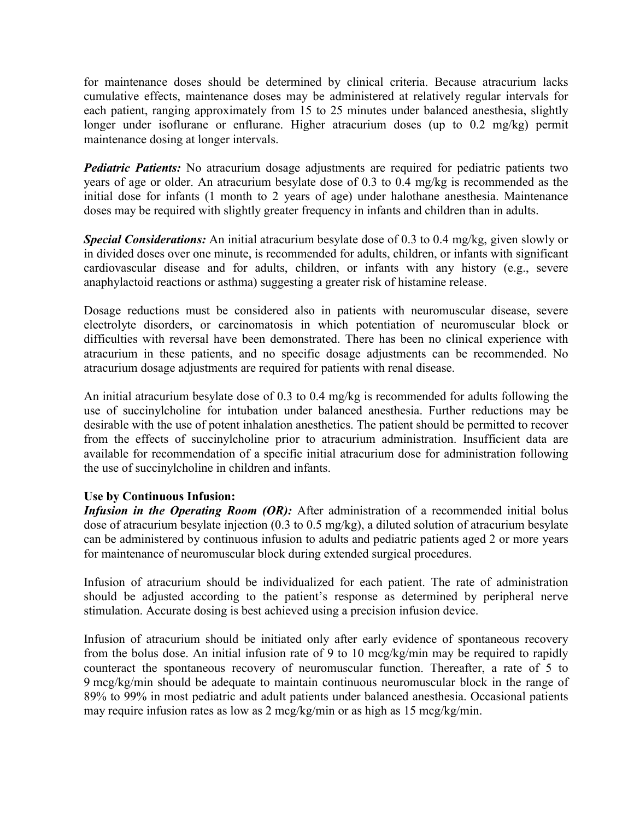for maintenance doses should be determined by clinical criteria. Because atracurium lacks cumulative effects, maintenance doses may be administered at relatively regular intervals for each patient, ranging approximately from 15 to 25 minutes under balanced anesthesia, slightly longer under isoflurane or enflurane. Higher atracurium doses (up to 0.2 mg/kg) permit maintenance dosing at longer intervals.

*Pediatric Patients:* No atracurium dosage adjustments are required for pediatric patients two years of age or older. An atracurium besylate dose of 0.3 to 0.4 mg/kg is recommended as the initial dose for infants (1 month to 2 years of age) under halothane anesthesia. Maintenance doses may be required with slightly greater frequency in infants and children than in adults.

*Special Considerations:* An initial atracurium besylate dose of 0.3 to 0.4 mg/kg, given slowly or in divided doses over one minute, is recommended for adults, children, or infants with significant cardiovascular disease and for adults, children, or infants with any history (e.g., severe anaphylactoid reactions or asthma) suggesting a greater risk of histamine release.

Dosage reductions must be considered also in patients with neuromuscular disease, severe electrolyte disorders, or carcinomatosis in which potentiation of neuromuscular block or difficulties with reversal have been demonstrated. There has been no clinical experience with atracurium in these patients, and no specific dosage adjustments can be recommended. No atracurium dosage adjustments are required for patients with renal disease.

An initial atracurium besylate dose of 0.3 to 0.4 mg/kg is recommended for adults following the use of succinylcholine for intubation under balanced anesthesia. Further reductions may be desirable with the use of potent inhalation anesthetics. The patient should be permitted to recover from the effects of succinylcholine prior to atracurium administration. Insufficient data are available for recommendation of a specific initial atracurium dose for administration following the use of succinylcholine in children and infants.

## **Use by Continuous Infusion:**

*Infusion in the Operating Room (OR):* After administration of a recommended initial bolus dose of atracurium besylate injection (0.3 to 0.5 mg/kg), a diluted solution of atracurium besylate can be administered by continuous infusion to adults and pediatric patients aged 2 or more years for maintenance of neuromuscular block during extended surgical procedures.

Infusion of atracurium should be individualized for each patient. The rate of administration should be adjusted according to the patient's response as determined by peripheral nerve stimulation. Accurate dosing is best achieved using a precision infusion device.

Infusion of atracurium should be initiated only after early evidence of spontaneous recovery from the bolus dose. An initial infusion rate of 9 to 10 mcg/kg/min may be required to rapidly counteract the spontaneous recovery of neuromuscular function. Thereafter, a rate of 5 to 9 mcg/kg/min should be adequate to maintain continuous neuromuscular block in the range of 89% to 99% in most pediatric and adult patients under balanced anesthesia. Occasional patients may require infusion rates as low as 2 mcg/kg/min or as high as 15 mcg/kg/min.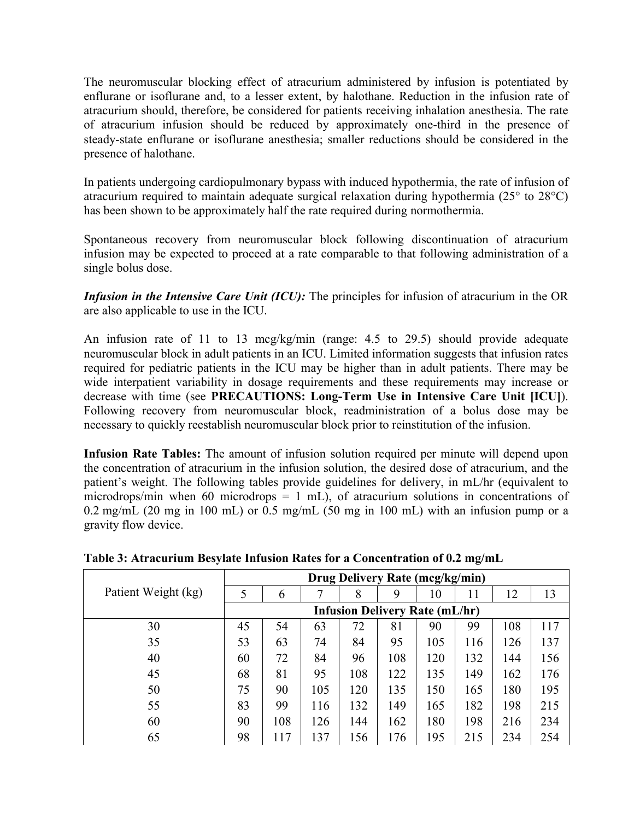The neuromuscular blocking effect of atracurium administered by infusion is potentiated by enflurane or isoflurane and, to a lesser extent, by halothane. Reduction in the infusion rate of atracurium should, therefore, be considered for patients receiving inhalation anesthesia. The rate of atracurium infusion should be reduced by approximately one-third in the presence of steady-state enflurane or isoflurane anesthesia; smaller reductions should be considered in the presence of halothane.

In patients undergoing cardiopulmonary bypass with induced hypothermia, the rate of infusion of atracurium required to maintain adequate surgical relaxation during hypothermia ( $25^{\circ}$  to  $28^{\circ}$ C) has been shown to be approximately half the rate required during normothermia.

Spontaneous recovery from neuromuscular block following discontinuation of atracurium infusion may be expected to proceed at a rate comparable to that following administration of a single bolus dose.

*Infusion in the Intensive Care Unit (ICU)*: The principles for infusion of atracurium in the OR are also applicable to use in the ICU.

An infusion rate of 11 to 13 mcg/kg/min (range: 4.5 to 29.5) should provide adequate neuromuscular block in adult patients in an ICU. Limited information suggests that infusion rates required for pediatric patients in the ICU may be higher than in adult patients. There may be wide interpatient variability in dosage requirements and these requirements may increase or decrease with time (see **PRECAUTIONS: Long-Term Use in Intensive Care Unit [ICU]**). Following recovery from neuromuscular block, readministration of a bolus dose may be necessary to quickly reestablish neuromuscular block prior to reinstitution of the infusion.

**Infusion Rate Tables:** The amount of infusion solution required per minute will depend upon the concentration of atracurium in the infusion solution, the desired dose of atracurium, and the patient's weight. The following tables provide guidelines for delivery, in mL/hr (equivalent to microdrops/min when 60 microdrops  $= 1$  mL), of atracurium solutions in concentrations of 0.2 mg/mL (20 mg in 100 mL) or 0.5 mg/mL (50 mg in 100 mL) with an infusion pump or a gravity flow device.

|                     | Drug Delivery Rate (mcg/kg/min) |                                       |     |     |     |     |     |     |     |
|---------------------|---------------------------------|---------------------------------------|-----|-----|-----|-----|-----|-----|-----|
| Patient Weight (kg) | 5                               | 6                                     |     | 8   | 9   | 10  | 11  | 12  | 13  |
|                     |                                 | <b>Infusion Delivery Rate (mL/hr)</b> |     |     |     |     |     |     |     |
| 30                  | 45                              | 54                                    | 63  | 72  | 81  | 90  | 99  | 108 | 117 |
| 35                  | 53                              | 63                                    | 74  | 84  | 95  | 105 | 116 | 126 | 137 |
| 40                  | 60                              | 72                                    | 84  | 96  | 108 | 120 | 132 | 144 | 156 |
| 45                  | 68                              | 81                                    | 95  | 108 | 122 | 135 | 149 | 162 | 176 |
| 50                  | 75                              | 90                                    | 105 | 120 | 135 | 150 | 165 | 180 | 195 |
| 55                  | 83                              | 99                                    | 116 | 132 | 149 | 165 | 182 | 198 | 215 |
| 60                  | 90                              | 108                                   | 126 | 144 | 162 | 180 | 198 | 216 | 234 |
| 65                  | 98                              | 117                                   | 137 | 156 | 176 | 195 | 215 | 234 | 254 |

**Table 3: Atracurium Besylate Infusion Rates for a Concentration of 0.2 mg/mL**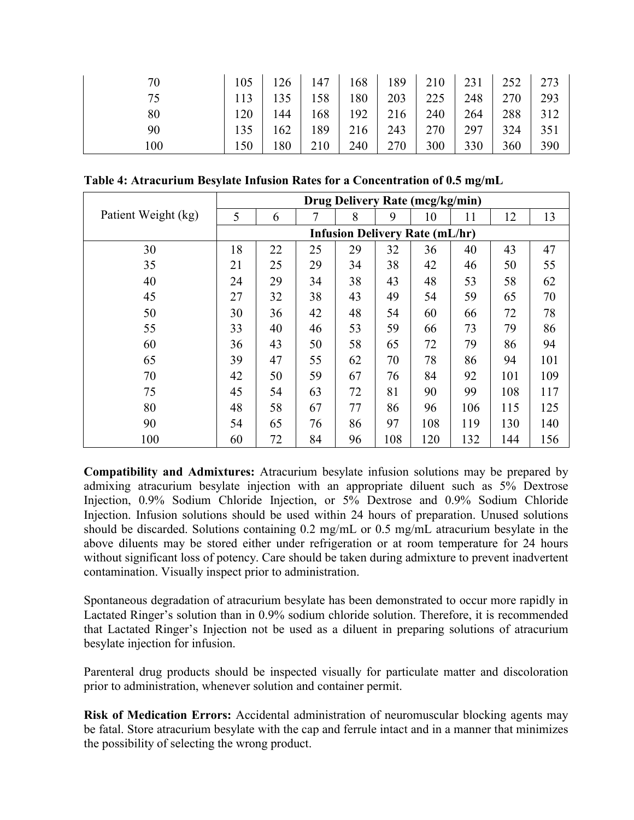| 70  | 105 | 126 | 147 |     | 168   189 | 210 | 231 | 252 | 273 |
|-----|-----|-----|-----|-----|-----------|-----|-----|-----|-----|
| 75  | 113 | 135 | 158 | 180 | 203       | 225 | 248 | 270 | 293 |
| 80  | 120 | 144 | 168 | 192 | 216       | 240 | 264 | 288 | 312 |
| 90  | 135 | 162 | 189 | 216 | 243       | 270 | 297 | 324 | 351 |
| 100 | 150 | 180 | 210 | 240 | 270       | 300 | 330 | 360 | 390 |

**Table 4: Atracurium Besylate Infusion Rates for a Concentration of 0.5 mg/mL**

|                     | Drug Delivery Rate (mcg/kg/min) |    |    |    |     |                                       |     |     |     |
|---------------------|---------------------------------|----|----|----|-----|---------------------------------------|-----|-----|-----|
| Patient Weight (kg) | 5                               | 6  | 7  | 8  | 9   | 10                                    | 11  | 12  | 13  |
|                     |                                 |    |    |    |     | <b>Infusion Delivery Rate (mL/hr)</b> |     |     |     |
| 30                  | 18                              | 22 | 25 | 29 | 32  | 36                                    | 40  | 43  | 47  |
| 35                  | 21                              | 25 | 29 | 34 | 38  | 42                                    | 46  | 50  | 55  |
| 40                  | 24                              | 29 | 34 | 38 | 43  | 48                                    | 53  | 58  | 62  |
| 45                  | 27                              | 32 | 38 | 43 | 49  | 54                                    | 59  | 65  | 70  |
| 50                  | 30                              | 36 | 42 | 48 | 54  | 60                                    | 66  | 72  | 78  |
| 55                  | 33                              | 40 | 46 | 53 | 59  | 66                                    | 73  | 79  | 86  |
| 60                  | 36                              | 43 | 50 | 58 | 65  | 72                                    | 79  | 86  | 94  |
| 65                  | 39                              | 47 | 55 | 62 | 70  | 78                                    | 86  | 94  | 101 |
| 70                  | 42                              | 50 | 59 | 67 | 76  | 84                                    | 92  | 101 | 109 |
| 75                  | 45                              | 54 | 63 | 72 | 81  | 90                                    | 99  | 108 | 117 |
| 80                  | 48                              | 58 | 67 | 77 | 86  | 96                                    | 106 | 115 | 125 |
| 90                  | 54                              | 65 | 76 | 86 | 97  | 108                                   | 119 | 130 | 140 |
| 100                 | 60                              | 72 | 84 | 96 | 108 | 120                                   | 132 | 144 | 156 |

**Compatibility and Admixtures:** Atracurium besylate infusion solutions may be prepared by admixing atracurium besylate injection with an appropriate diluent such as 5% Dextrose Injection, 0.9% Sodium Chloride Injection, or 5% Dextrose and 0.9% Sodium Chloride Injection. Infusion solutions should be used within 24 hours of preparation. Unused solutions should be discarded. Solutions containing 0.2 mg/mL or 0.5 mg/mL atracurium besylate in the above diluents may be stored either under refrigeration or at room temperature for 24 hours without significant loss of potency. Care should be taken during admixture to prevent inadvertent contamination. Visually inspect prior to administration.

Spontaneous degradation of atracurium besylate has been demonstrated to occur more rapidly in Lactated Ringer's solution than in 0.9% sodium chloride solution. Therefore, it is recommended that Lactated Ringer's Injection not be used as a diluent in preparing solutions of atracurium besylate injection for infusion.

Parenteral drug products should be inspected visually for particulate matter and discoloration prior to administration, whenever solution and container permit.

**Risk of Medication Errors:** Accidental administration of neuromuscular blocking agents may be fatal. Store atracurium besylate with the cap and ferrule intact and in a manner that minimizes the possibility of selecting the wrong product.